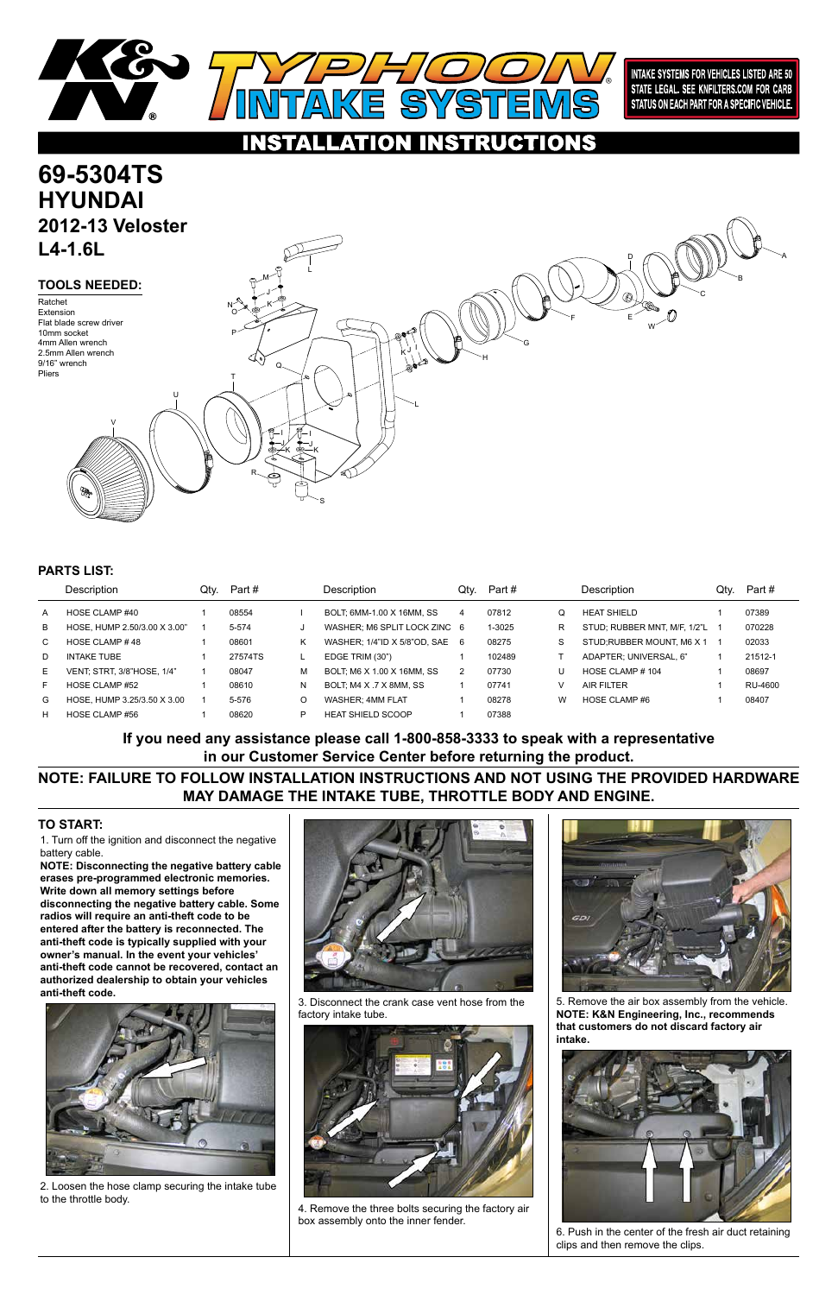1. Turn off the ignition and disconnect the negative battery cable.

**NOTE: Disconnecting the negative battery cable erases pre-programmed electronic memories. Write down all memory settings before disconnecting the negative battery cable. Some radios will require an anti-theft code to be entered after the battery is reconnected. The anti-theft code is typically supplied with your owner's manual. In the event your vehicles' anti-theft code cannot be recovered, contact an authorized dealership to obtain your vehicles anti-theft code.**







### **TO START:**



**INTAKE SYSTEMS FOR VEHICLES LISTED ARE 50** STATE LEGAL. SEE KNFILTERS.COM FOR CARB STATUS ON EACH PART FOR A SPECIFIC VEHICLE.

### **INSTRUCTIONS** ATION



2. Loosen the hose clamp securing the intake tube to the throttle body.

3. Disconnect the crank case vent hose from the factory intake tube.



4. Remove the three bolts securing the factory air box assembly onto the inner fender.

5. Remove the air box assembly from the vehicle. **NOTE: K&N Engineering, Inc., recommends that customers do not discard factory air intake.**



6. Push in the center of the fresh air duct retaining clips and then remove the clips.

|    | Description                       | Qtv. | Part #    |   | Description                    | Qtv. | Part # |   | Description                  | Qtv. | Part #  |
|----|-----------------------------------|------|-----------|---|--------------------------------|------|--------|---|------------------------------|------|---------|
| A  | HOSE CLAMP #40                    |      | 08554     |   | BOLT: 6MM-1.00 X 16MM, SS      | 4    | 07812  | Q | <b>HEAT SHIELD</b>           |      | 07389   |
| B  | HOSE, HUMP 2.50/3.00 X 3.00"      |      | $5 - 574$ |   | WASHER: M6 SPLIT LOCK ZINC 6   |      | 1-3025 | R | STUD; RUBBER MNT, M/F, 1/2"L |      | 070228  |
| C. | HOSE CLAMP #48                    |      | 08601     | Κ | WASHER: 1/4"ID X 5/8"OD, SAE 6 |      | 08275  | S | STUD; RUBBER MOUNT, M6 X 1   |      | 02033   |
| D. | <b>INTAKE TUBE</b>                |      | 27574TS   |   | EDGE TRIM (30")                |      | 102489 |   | ADAPTER; UNIVERSAL, 6"       |      | 21512-1 |
| E. | <b>VENT: STRT, 3/8"HOSE, 1/4"</b> |      | 08047     | м | BOLT; M6 X 1.00 X 16MM, SS     | 2    | 07730  | U | HOSE CLAMP $# 104$           |      | 08697   |
| F  | HOSE CLAMP #52                    |      | 08610     | N | BOLT; M4 X .7 X 8MM, SS        |      | 07741  |   | <b>AIR FILTER</b>            |      | RU-4600 |
| G  | HOSE, HUMP 3.25/3.50 X 3.00       |      | $5 - 576$ | O | <b>WASHER: 4MM FLAT</b>        |      | 08278  | W | HOSE CLAMP #6                |      | 08407   |
| н  | HOSE CLAMP #56                    |      | 08620     | P | <b>HEAT SHIELD SCOOP</b>       |      | 07388  |   |                              |      |         |

## **PARTS LIST:**

**NOTE: FAILURE TO FOLLOW INSTALLATION INSTRUCTIONS AND NOT USING THE PROVIDED HARDWARE MAY DAMAGE THE INTAKE TUBE, THROTTLE BODY AND ENGINE.**

**If you need any assistance please call 1-800-858-3333 to speak with a representative in our Customer Service Center before returning the product.**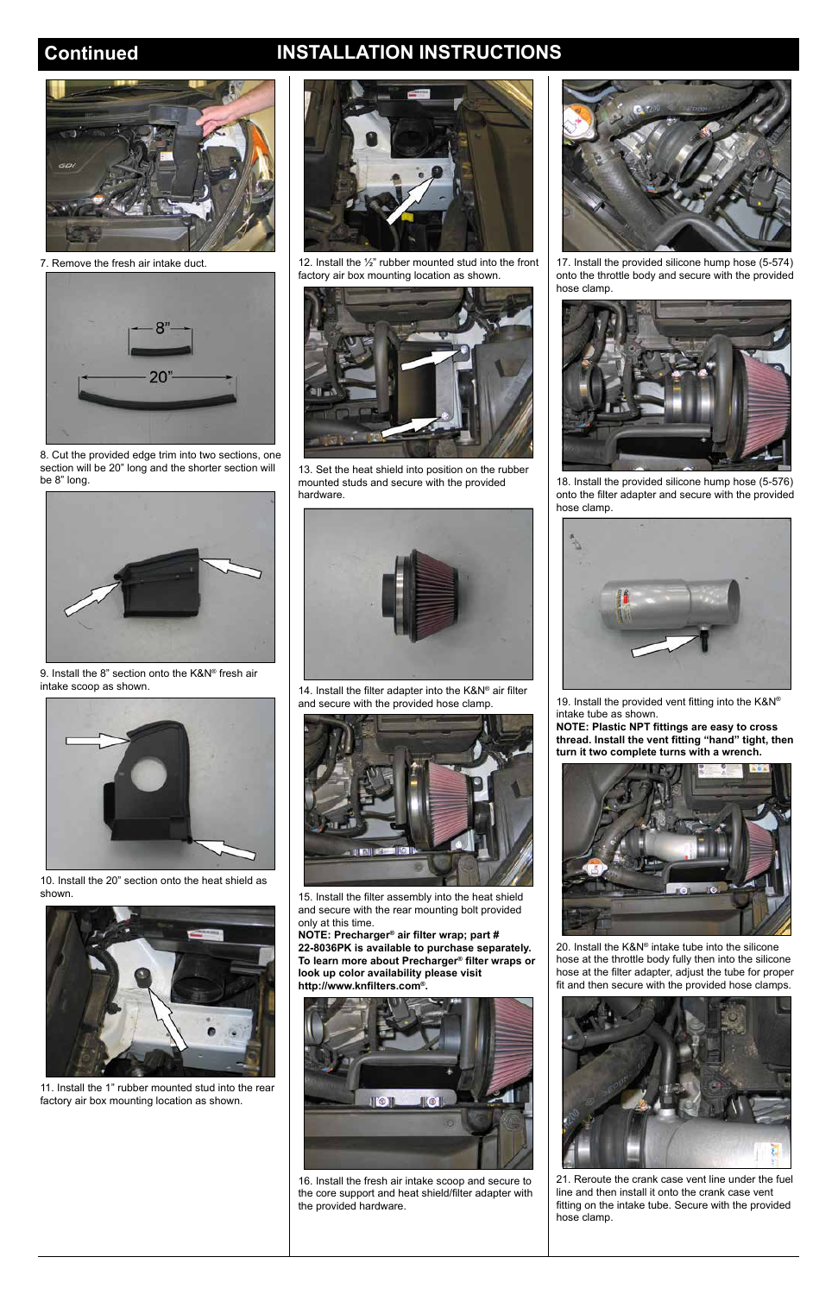# **Continued INSTALLATION INSTRUCTIONS**



7. Remove the fresh air intake duct.



8. Cut the provided edge trim into two sections, one section will be 20" long and the shorter section will be 8" long.



9. Install the 8" section onto the K&N® fresh air intake scoop as shown.



10. Install the 20" section onto the heat shield as shown.



11. Install the 1" rubber mounted stud into the rear factory air box mounting location as shown.





12. Install the ½" rubber mounted stud into the front factory air box mounting location as shown.



13. Set the heat shield into position on the rubber mounted studs and secure with the provided hardware.



14. Install the filter adapter into the K&N® air filter and secure with the provided hose clamp.



15. Install the filter assembly into the heat shield and secure with the rear mounting bolt provided only at this time.

**NOTE: Precharger® air filter wrap; part # 22-8036PK is available to purchase separately. To learn more about Precharger® filter wraps or look up color availability please visit http://www.knfilters.com®.**

16. Install the fresh air intake scoop and secure to the core support and heat shield/filter adapter with the provided hardware.



17. Install the provided silicone hump hose (5-574) onto the throttle body and secure with the provided hose clamp.



18. Install the provided silicone hump hose (5-576) onto the filter adapter and secure with the provided hose clamp.



19. Install the provided vent fitting into the K&N® intake tube as shown.

**NOTE: Plastic NPT fittings are easy to cross thread. Install the vent fitting "hand" tight, then turn it two complete turns with a wrench.**



20. Install the K&N® intake tube into the silicone

hose at the throttle body fully then into the silicone hose at the filter adapter, adjust the tube for proper fit and then secure with the provided hose clamps.



21. Reroute the crank case vent line under the fuel line and then install it onto the crank case vent fitting on the intake tube. Secure with the provided hose clamp.